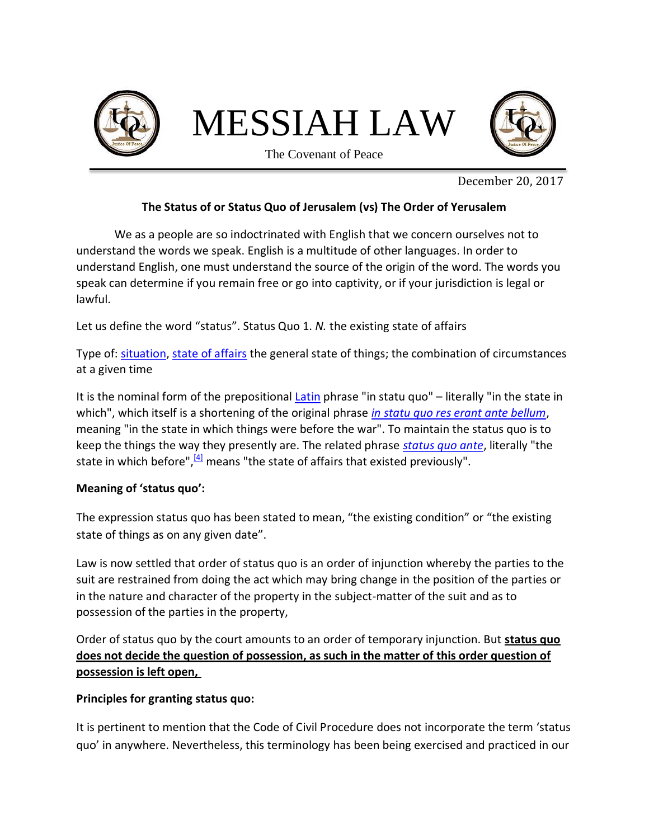

December 20, 2017

## **The Status of or Status Quo of Jerusalem (vs) The Order of Yerusalem**

We as a people are so indoctrinated with English that we concern ourselves not to understand the words we speak. English is a multitude of other languages. In order to understand English, one must understand the source of the origin of the word. The words you speak can determine if you remain free or go into captivity, or if your jurisdiction is legal or lawful.

Let us define the word "status". Status Quo 1. *N.* the existing state of affairs

Type of: [situation,](https://www.vocabulary.com/dictionary/situation) [state of affairs](https://www.vocabulary.com/dictionary/state%20of%20affairs) the general state of things; the combination of circumstances at a given time

It is the nominal form of the prepositional [Latin](https://en.wikipedia.org/wiki/Latin) phrase "in statu quo" – literally "in the state in which", which itself is a shortening of the original phrase *[in statu quo res erant ante bellum](https://en.wikipedia.org/wiki/Status_quo_ante_bellum)*, meaning "in the state in which things were before the war". To maintain the status quo is to keep the things the way they presently are. The related phrase *[status quo ante](https://en.wikipedia.org/wiki/Status_quo_ante_(disambiguation))*, literally "the state in which before", $\frac{4}{4}$  means "the state of affairs that existed previously".

## **Meaning of 'status quo':**

The expression status quo has been stated to mean, "the existing condition" or "the existing state of things as on any given date".

Law is now settled that order of status quo is an order of injunction whereby the parties to the suit are restrained from doing the act which may bring change in the position of the parties or in the nature and character of the property in the subject-matter of the suit and as to possession of the parties in the property,

Order of status quo by the court amounts to an order of temporary injunction. But **status quo does not decide the question of possession, as such in the matter of this order question of possession is left open,**

## **Principles for granting status quo:**

It is pertinent to mention that the Code of Civil Procedure does not incorporate the term 'status quo' in anywhere. Nevertheless, this terminology has been being exercised and practiced in our